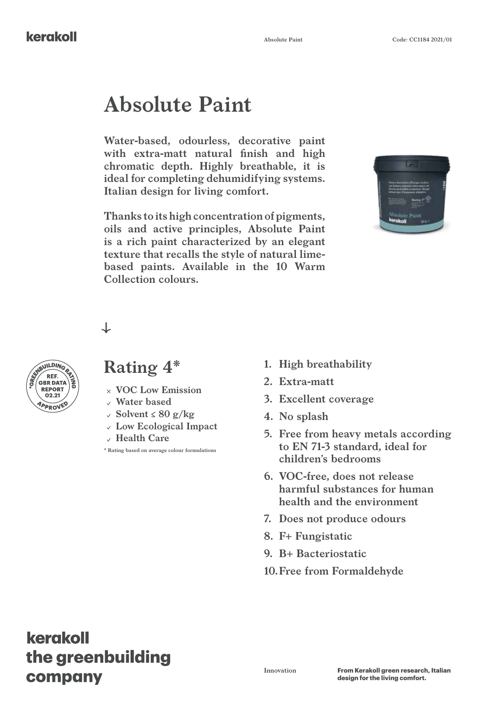#### kerakoll

# **Absolute Paint**

**Water-based, odourless, decorative paint with extra-matt natural finish and high chromatic depth. Highly breathable, it is ideal for completing dehumidifying systems. Italian design for living comfort.**

**Thanks to its high concentration of pigments, oils and active principles, Absolute Paint is a rich paint characterized by an elegant texture that recalls the style of natural limebased paints. Available in the 10 Warm Collection colours.**





#### **Rating 4\***

↓

- 
- **Water based**
- **Solvent ≤ 80 g/kg**
- **Low Ecological Impact**
- **Health Care**

**\* Rating based on average colour formulations**

- **1. High breathability**
- **2. Extra-matt**
- **3. Excellent coverage**
- **4. No splash**
- **5. Free from heavy metals according to EN 71-3 standard, ideal for children's bedrooms**
- **6. VOC-free, does not release harmful substances for human health and the environment**
- **7. Does not produce odours**
- **8. F+ Fungistatic**
- **9. B+ Bacteriostatic**
- **10.Free from Formaldehyde**

# kerakoll the greenbuilding company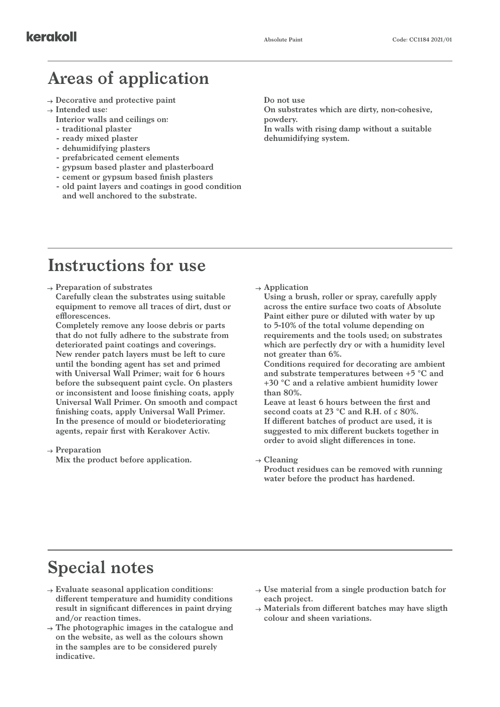# **Areas of application**

- **Decorative and protective paint**
- **Intended use:**
	- **Interior walls and ceilings on:**
	- **- traditional plaster**
	- **- ready mixed plaster**
	- **- dehumidifying plasters**
	- **- prefabricated cement elements**
	- **- gypsum based plaster and plasterboard**
	- **- cement or gypsum based finish plasters**
	- **- old paint layers and coatings in good condition and well anchored to the substrate.**

**Do not use**

**On substrates which are dirty, non-cohesive, powdery. In walls with rising damp without a suitable dehumidifying system.**

### **Instructions for use**

- **Preparation of substrates**
	- **Carefully clean the substrates using suitable equipment to remove all traces of dirt, dust or efflorescences.**

**Completely remove any loose debris or parts that do not fully adhere to the substrate from deteriorated paint coatings and coverings. New render patch layers must be left to cure until the bonding agent has set and primed with Universal Wall Primer; wait for 6 hours before the subsequent paint cycle. On plasters or inconsistent and loose finishing coats, apply Universal Wall Primer. On smooth and compact finishing coats, apply Universal Wall Primer. In the presence of mould or biodeteriorating agents, repair first with Kerakover Activ.**

**Preparation**

**Mix the product before application.**

**Application**

**Using a brush, roller or spray, carefully apply across the entire surface two coats of Absolute Paint either pure or diluted with water by up to 5-10% of the total volume depending on requirements and the tools used; on substrates which are perfectly dry or with a humidity level not greater than 6%.**

**Conditions required for decorating are ambient and substrate temperatures between +5 °C and +30 °C and a relative ambient humidity lower than 80%.**

**Leave at least 6 hours between the first and second coats at 23 °C and R.H. of ≤ 80%. If different batches of product are used, it is suggested to mix different buckets together in order to avoid slight differences in tone.**

**Cleaning**

**Product residues can be removed with running water before the product has hardened.**

### **Special notes**

- **Evaluate seasonal application conditions: different temperature and humidity conditions result in significant differences in paint drying and/or reaction times.**
- **The photographic images in the catalogue and on the website, as well as the colours shown in the samples are to be considered purely indicative.**
- **Use material from a single production batch for each project.**
- **Materials from different batches may have sligth colour and sheen variations.**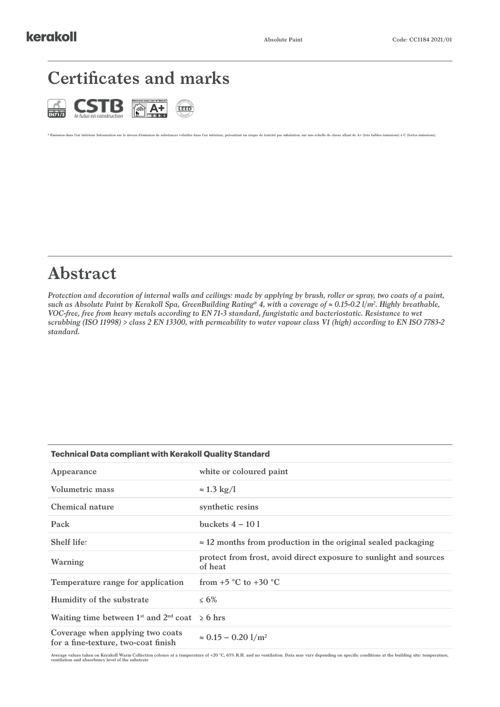#### **Certificates and marks**



# **Abstract**

*Protection and decoration of internal walls and ceilings: made by applying by brush, roller or spray, two coats of a paint, such as Absolute Paint by Kerakoll Spa, GreenBuilding Rating® 4, with a coverage of ≈ 0.15-0.2 l/m2 . Highly breathable, VOC-free, free from heavy metals according to EN 71-3 standard, fungistatic and bacteriostatic. Resistance to wet scrubbing (ISO 11998) > class 2 EN 13300, with permeability to water vapour class V1 (high) according to EN ISO 7783-2 standard.* 

\* Émission dans l'air intérieur Information sur le niveau d'émission de substances volatiles dans l'air intérieur, présentant un risque de toxicité par inhalation, sur une échelle de classe allant de A+ (très faibles émiss

| <b>Technical Data compliant with Kerakoll Quality Standard</b>               |  |  |
|------------------------------------------------------------------------------|--|--|
| white or coloured paint                                                      |  |  |
| $\approx$ 1.3 kg/l                                                           |  |  |
| synthetic resins                                                             |  |  |
| buckets $4-101$                                                              |  |  |
| $\approx$ 12 months from production in the original sealed packaging         |  |  |
| protect from frost, avoid direct exposure to sunlight and sources<br>of heat |  |  |
| from $+5$ °C to $+30$ °C                                                     |  |  |
| $\leq 6\%$                                                                   |  |  |
| Waiting time between $1^{st}$ and $2^{nd}$ coat $\geq 6$ hrs                 |  |  |
| $\approx 0.15 - 0.20$ 1/m <sup>2</sup>                                       |  |  |
|                                                                              |  |  |

Average values taken on Kerakoll Warm Collection colours at a temperature of +20 °C, 65% R.H. and no ventilation. Data may vary depending on specific conditions at the building site: temperature,<br>ventilation and absorbency